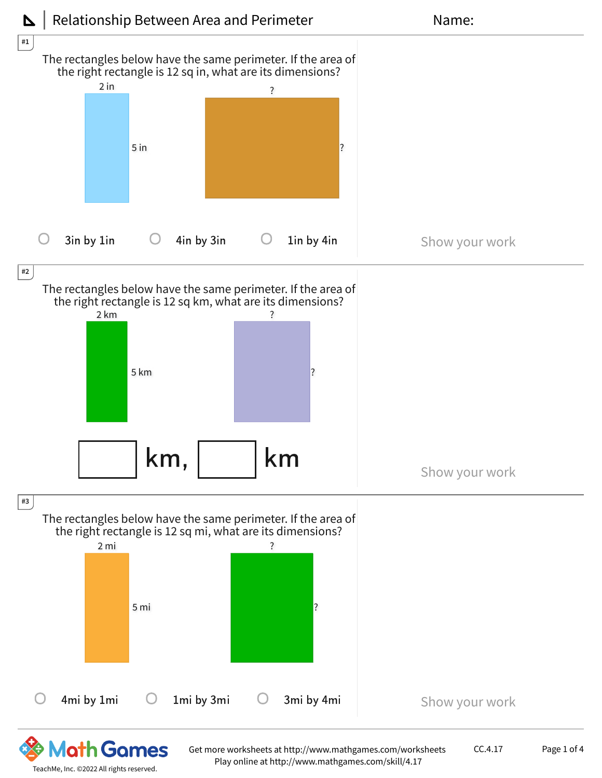

TeachMe, Inc. ©2022 All rights reserved.

Play online at http://www.mathgames.com/skill/4.17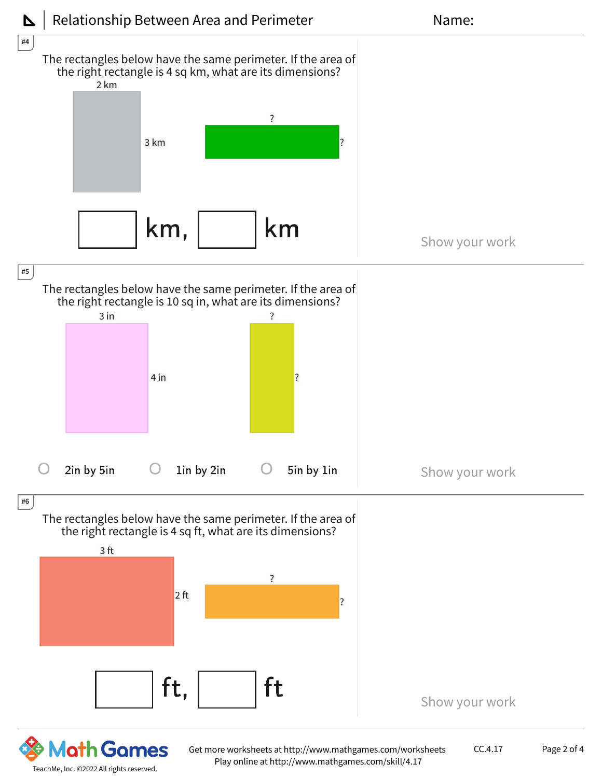

TeachMe, Inc. ©2022 All rights reserved.

Get more worksheets at http://www.mathgames.com/worksheets Play online at http://www.mathgames.com/skill/4.17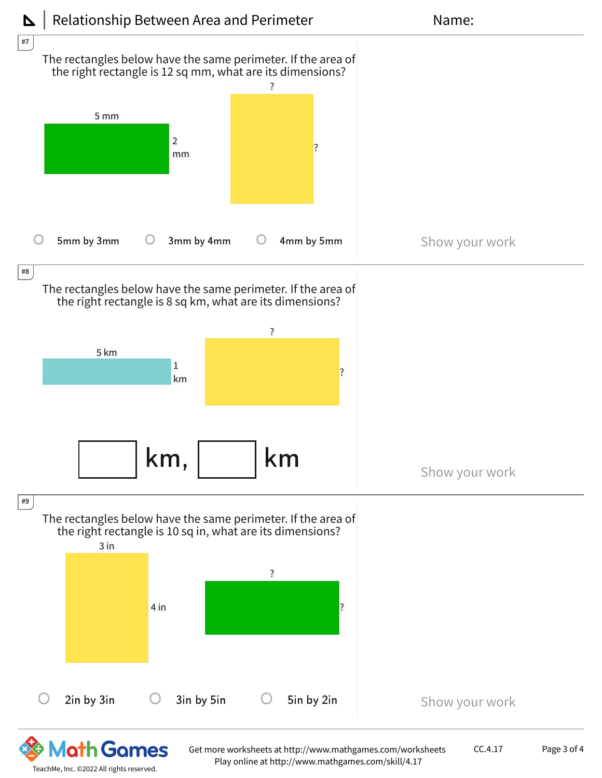

TeachMe, Inc. ©2022 All rights reserved.

Play online at http://www.mathgames.com/skill/4.17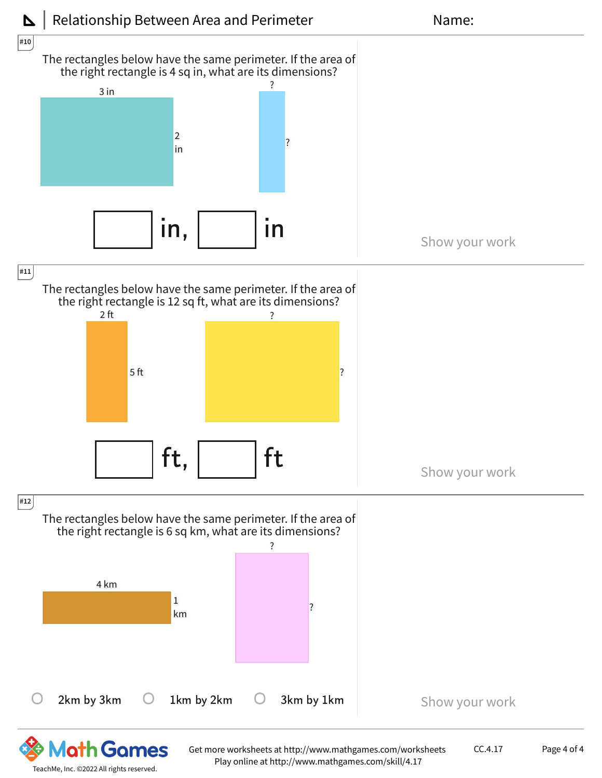

Play online at http://www.mathgames.com/skill/4.17

TeachMe, Inc. ©2022 All rights reserved.